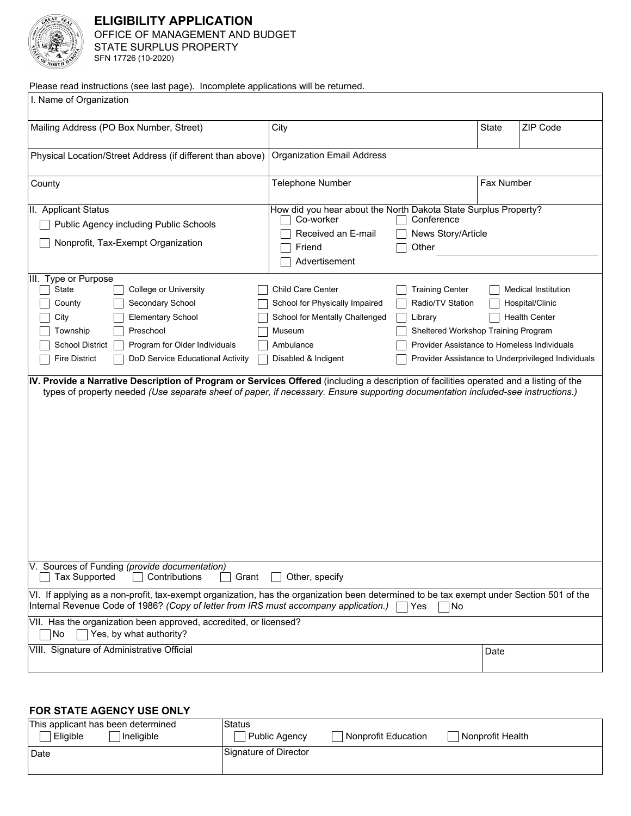

# **ELIGIBILITY APPLICATION**  OFFICE OF MANAGEMENT AND BUDGET STATE SURPLUS PROPERTY SFN 17726 (10-2020)

Please read instructions (see last page). Incomplete applications will be returned.

| I. Name of Organization                                                                                                                                                                                                                                                                                                                                                                                                                                                                                                                                        |                                                                                                                                                                                                                                     |            |                                                                                                                                                                            |  |
|----------------------------------------------------------------------------------------------------------------------------------------------------------------------------------------------------------------------------------------------------------------------------------------------------------------------------------------------------------------------------------------------------------------------------------------------------------------------------------------------------------------------------------------------------------------|-------------------------------------------------------------------------------------------------------------------------------------------------------------------------------------------------------------------------------------|------------|----------------------------------------------------------------------------------------------------------------------------------------------------------------------------|--|
| Mailing Address (PO Box Number, Street)                                                                                                                                                                                                                                                                                                                                                                                                                                                                                                                        | City                                                                                                                                                                                                                                | State      | ZIP Code                                                                                                                                                                   |  |
| Physical Location/Street Address (if different than above)                                                                                                                                                                                                                                                                                                                                                                                                                                                                                                     | <b>Organization Email Address</b>                                                                                                                                                                                                   |            |                                                                                                                                                                            |  |
| County<br>$\blacktriangleright$                                                                                                                                                                                                                                                                                                                                                                                                                                                                                                                                | Telephone Number                                                                                                                                                                                                                    | Fax Number |                                                                                                                                                                            |  |
| II. Applicant Status<br>Public Agency including Public Schools<br>Nonprofit, Tax-Exempt Organization                                                                                                                                                                                                                                                                                                                                                                                                                                                           | How did you hear about the North Dakota State Surplus Property?<br>Co-worker<br>Conference<br>Received an E-mail<br>News Story/Article<br>Other<br>Friend<br>Advertisement                                                          |            |                                                                                                                                                                            |  |
| III. Type or Purpose<br><b>State</b><br>College or University<br>Secondary School<br>County<br><b>Elementary School</b><br>City<br>Preschool<br>Township<br>Program for Older Individuals<br><b>School District</b><br><b>Fire District</b><br>DoD Service Educational Activity<br>IV. Provide a Narrative Description of Program or Services Offered (including a description of facilities operated and a listing of the<br>types of property needed (Use separate sheet of paper, if necessary. Ensure supporting documentation included-see instructions.) | Child Care Center<br><b>Training Center</b><br>Radio/TV Station<br>School for Physically Impaired<br>School for Mentally Challenged<br>Library<br>Museum<br>Sheltered Workshop Training Program<br>Ambulance<br>Disabled & Indigent |            | <b>Medical Institution</b><br>Hospital/Clinic<br><b>Health Center</b><br>Provider Assistance to Homeless Individuals<br>Provider Assistance to Underprivileged Individuals |  |
|                                                                                                                                                                                                                                                                                                                                                                                                                                                                                                                                                                |                                                                                                                                                                                                                                     |            |                                                                                                                                                                            |  |
| V. Sources of Funding (provide documentation)<br><b>Tax Supported</b><br>Other, specify<br>Contributions<br>Grant                                                                                                                                                                                                                                                                                                                                                                                                                                              |                                                                                                                                                                                                                                     |            |                                                                                                                                                                            |  |
| VI. If applying as a non-profit, tax-exempt organization, has the organization been determined to be tax exempt under Section 501 of the<br>Internal Revenue Code of 1986? (Copy of letter from IRS must accompany application.)<br>∃Yes<br> No                                                                                                                                                                                                                                                                                                                |                                                                                                                                                                                                                                     |            |                                                                                                                                                                            |  |
| VII. Has the organization been approved, accredited, or licensed?<br>Yes, by what authority?<br>No                                                                                                                                                                                                                                                                                                                                                                                                                                                             |                                                                                                                                                                                                                                     |            |                                                                                                                                                                            |  |
| VIII. Signature of Administrative Official                                                                                                                                                                                                                                                                                                                                                                                                                                                                                                                     |                                                                                                                                                                                                                                     | Date       |                                                                                                                                                                            |  |

# **FOR STATE AGENCY USE ONLY**

| This applicant has been determined<br>Eligible<br>Ineligible | Status<br><b>Public Agency</b> | Nonprofit Education | Nonprofit Health |
|--------------------------------------------------------------|--------------------------------|---------------------|------------------|
| ' Date                                                       | Signature of Director          |                     |                  |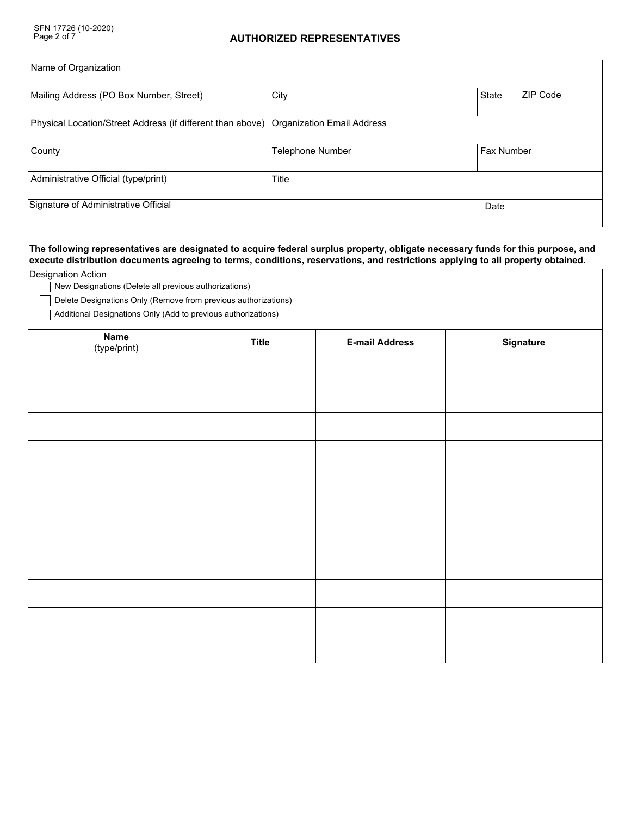| Name of Organization                                                                    |                         |                   |          |
|-----------------------------------------------------------------------------------------|-------------------------|-------------------|----------|
| Mailing Address (PO Box Number, Street)                                                 | City                    | <b>State</b>      | ZIP Code |
| Physical Location/Street Address (if different than above)   Organization Email Address |                         |                   |          |
| County<br>$\blacktriangledown$                                                          | <b>Telephone Number</b> | <b>Fax Number</b> |          |
| Administrative Official (type/print)                                                    | Title                   |                   |          |
| Signature of Administrative Official                                                    |                         | Date              |          |

### **The following representatives are designated to acquire federal surplus property, obligate necessary funds for this purpose, and execute distribution documents agreeing to terms, conditions, reservations, and restrictions applying to all property obtained.**

| Designation Action<br>New Designations (Delete all previous authorizations)                                                     |              |                       |                  |
|---------------------------------------------------------------------------------------------------------------------------------|--------------|-----------------------|------------------|
| Delete Designations Only (Remove from previous authorizations)<br>Additional Designations Only (Add to previous authorizations) |              |                       |                  |
| <b>Name</b><br>(type/print)                                                                                                     | <b>Title</b> | <b>E-mail Address</b> | <b>Signature</b> |
|                                                                                                                                 |              |                       |                  |
|                                                                                                                                 |              |                       |                  |
|                                                                                                                                 |              |                       |                  |
|                                                                                                                                 |              |                       |                  |
|                                                                                                                                 |              |                       |                  |
|                                                                                                                                 |              |                       |                  |
|                                                                                                                                 |              |                       |                  |
|                                                                                                                                 |              |                       |                  |
|                                                                                                                                 |              |                       |                  |
|                                                                                                                                 |              |                       |                  |
|                                                                                                                                 |              |                       |                  |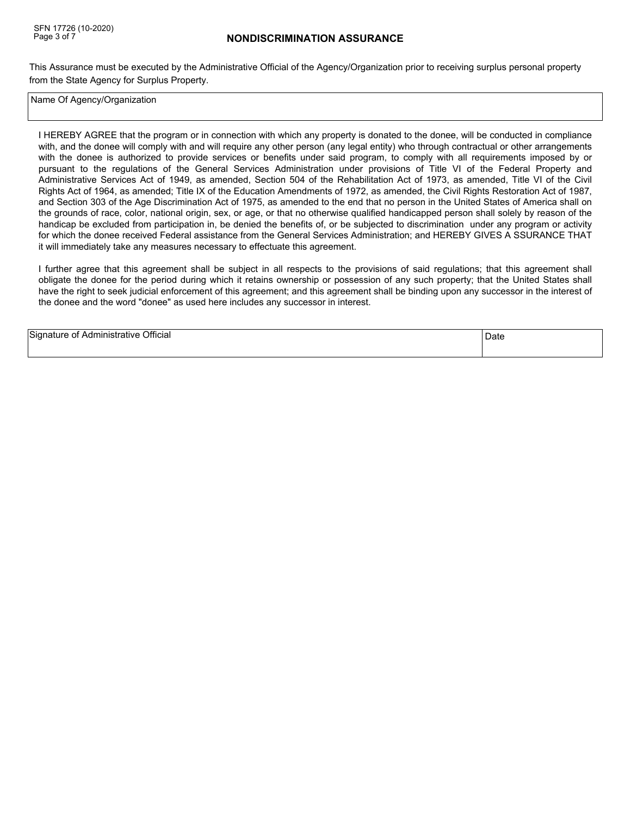# **NONDISCRIMINATION ASSURANCE**

This Assurance must be executed by the Administrative Official of the Agency/Organization prior to receiving surplus personal property from the State Agency for Surplus Property.

Name Of Agency/Organization

I HEREBY AGREE that the program or in connection with which any property is donated to the donee, will be conducted in compliance with, and the donee will comply with and will require any other person (any legal entity) who through contractual or other arrangements with the donee is authorized to provide services or benefits under said program, to comply with all requirements imposed by or pursuant to the regulations of the General Services Administration under provisions of Title VI of the Federal Property and Administrative Services Act of 1949, as amended, Section 504 of the Rehabilitation Act of 1973, as amended, Title VI of the Civil Rights Act of 1964, as amended; Title IX of the Education Amendments of 1972, as amended, the Civil Rights Restoration Act of 1987, and Section 303 of the Age Discrimination Act of 1975, as amended to the end that no person in the United States of America shall on the grounds of race, color, national origin, sex, or age, or that no otherwise qualified handicapped person shall solely by reason of the handicap be excluded from participation in, be denied the benefits of, or be subjected to discrimination under any program or activity for which the donee received Federal assistance from the General Services Administration; and HEREBY GIVES A SSURANCE THAT it will immediately take any measures necessary to effectuate this agreement.

I further agree that this agreement shall be subject in all respects to the provisions of said regulations; that this agreement shall obligate the donee for the period during which it retains ownership or possession of any such property; that the United States shall have the right to seek judicial enforcement of this agreement; and this agreement shall be binding upon any successor in the interest of the donee and the word "donee" as used here includes any successor in interest.

| Signature of Administrative Official | Date |
|--------------------------------------|------|
|--------------------------------------|------|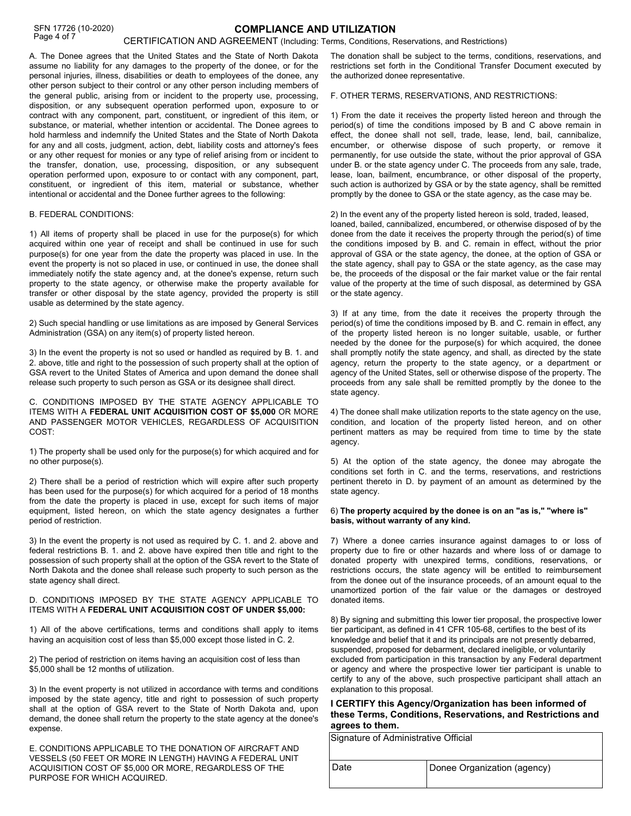A. The Donee agrees that the United States and the State of North Dakota assume no liability for any damages to the property of the donee, or for the personal injuries, illness, disabilities or death to employees of the donee, any other person subject to their control or any other person including members of the general public, arising from or incident to the property use, processing, disposition, or any subsequent operation performed upon, exposure to or contract with any component, part, constituent, or ingredient of this item, or substance, or material, whether intention or accidental. The Donee agrees to hold harmless and indemnify the United States and the State of North Dakota for any and all costs, judgment, action, debt, liability costs and attorney's fees or any other request for monies or any type of relief arising from or incident to the transfer, donation, use, processing, disposition, or any subsequent operation performed upon, exposure to or contact with any component, part, constituent, or ingredient of this item, material or substance, whether intentional or accidental and the Donee further agrees to the following:

#### B. FEDERAL CONDITIONS:

1) All items of property shall be placed in use for the purpose(s) for which acquired within one year of receipt and shall be continued in use for such purpose(s) for one year from the date the property was placed in use. In the event the property is not so placed in use, or continued in use, the donee shall immediately notify the state agency and, at the donee's expense, return such property to the state agency, or otherwise make the property available for transfer or other disposal by the state agency, provided the property is still usable as determined by the state agency.

2) Such special handling or use limitations as are imposed by General Services Administration (GSA) on any item(s) of property listed hereon.

3) In the event the property is not so used or handled as required by B. 1. and 2. above, title and right to the possession of such property shall at the option of GSA revert to the United States of America and upon demand the donee shall release such property to such person as GSA or its designee shall direct.

C. CONDITIONS IMPOSED BY THE STATE AGENCY APPLICABLE TO ITEMS WITH A **FEDERAL UNIT ACQUISITION COST OF \$5,000** OR MORE AND PASSENGER MOTOR VEHICLES, REGARDLESS OF ACQUISITION COST:

1) The property shall be used only for the purpose(s) for which acquired and for no other purpose(s).

2) There shall be a period of restriction which will expire after such property has been used for the purpose(s) for which acquired for a period of 18 months from the date the property is placed in use, except for such items of major equipment, listed hereon, on which the state agency designates a further period of restriction.

3) In the event the property is not used as required by C. 1. and 2. above and federal restrictions B. 1. and 2. above have expired then title and right to the possession of such property shall at the option of the GSA revert to the State of North Dakota and the donee shall release such property to such person as the state agency shall direct.

#### D. CONDITIONS IMPOSED BY THE STATE AGENCY APPLICABLE TO ITEMS WITH A **FEDERAL UNIT ACQUISITION COST OF UNDER \$5,000:**

1) All of the above certifications, terms and conditions shall apply to items having an acquisition cost of less than \$5,000 except those listed in C. 2.

2) The period of restriction on items having an acquisition cost of less than \$5,000 shall be 12 months of utilization.

3) In the event property is not utilized in accordance with terms and conditions imposed by the state agency, title and right to possession of such property shall at the option of GSA revert to the State of North Dakota and, upon demand, the donee shall return the property to the state agency at the donee's expense.

E. CONDITIONS APPLICABLE TO THE DONATION OF AIRCRAFT AND VESSELS (50 FEET OR MORE IN LENGTH) HAVING A FEDERAL UNIT ACQUISITION COST OF \$5,000 OR MORE, REGARDLESS OF THE PURPOSE FOR WHICH ACQUIRED.

The donation shall be subject to the terms, conditions, reservations, and restrictions set forth in the Conditional Transfer Document executed by the authorized donee representative.

F. OTHER TERMS, RESERVATIONS, AND RESTRICTIONS:

1) From the date it receives the property listed hereon and through the period(s) of time the conditions imposed by B and C above remain in effect, the donee shall not sell, trade, lease, lend, bail, cannibalize, encumber, or otherwise dispose of such property, or remove it permanently, for use outside the state, without the prior approval of GSA under B. or the state agency under C. The proceeds from any sale, trade, lease, loan, bailment, encumbrance, or other disposal of the property, such action is authorized by GSA or by the state agency, shall be remitted promptly by the donee to GSA or the state agency, as the case may be.

2) In the event any of the property listed hereon is sold, traded, leased, loaned, bailed, cannibalized, encumbered, or otherwise disposed of by the donee from the date it receives the property through the period(s) of time the conditions imposed by B. and C. remain in effect, without the prior approval of GSA or the state agency, the donee, at the option of GSA or the state agency, shall pay to GSA or the state agency, as the case may be, the proceeds of the disposal or the fair market value or the fair rental value of the property at the time of such disposal, as determined by GSA or the state agency.

3) If at any time, from the date it receives the property through the period(s) of time the conditions imposed by B. and C. remain in effect, any of the property listed hereon is no longer suitable, usable, or further needed by the donee for the purpose(s) for which acquired, the donee shall promptly notify the state agency, and shall, as directed by the state agency, return the property to the state agency, or a department or agency of the United States, sell or otherwise dispose of the property. The proceeds from any sale shall be remitted promptly by the donee to the state agency.

4) The donee shall make utilization reports to the state agency on the use, condition, and location of the property listed hereon, and on other pertinent matters as may be required from time to time by the state agency.

5) At the option of the state agency, the donee may abrogate the conditions set forth in C. and the terms, reservations, and restrictions pertinent thereto in D. by payment of an amount as determined by the state agency.

#### 6) **The property acquired by the donee is on an "as is," "where is" basis, without warranty of any kind.**

7) Where a donee carries insurance against damages to or loss of property due to fire or other hazards and where loss of or damage to donated property with unexpired terms, conditions, reservations, or restrictions occurs, the state agency will be entitled to reimbursement from the donee out of the insurance proceeds, of an amount equal to the unamortized portion of the fair value or the damages or destroyed donated items.

8) By signing and submitting this lower tier proposal, the prospective lower tier participant, as defined in 41 CFR 105-68, certifies to the best of its knowledge and belief that it and its principals are not presently debarred, suspended, proposed for debarment, declared ineligible, or voluntarily excluded from participation in this transaction by any Federal department or agency and where the prospective lower tier participant is unable to certify to any of the above, such prospective participant shall attach an explanation to this proposal.

#### **I CERTIFY this Agency/Organization has been informed of these Terms, Conditions, Reservations, and Restrictions and agrees to them.**

Signature of Administrative Official

| ∣Date | Donee Organization (agency) |
|-------|-----------------------------|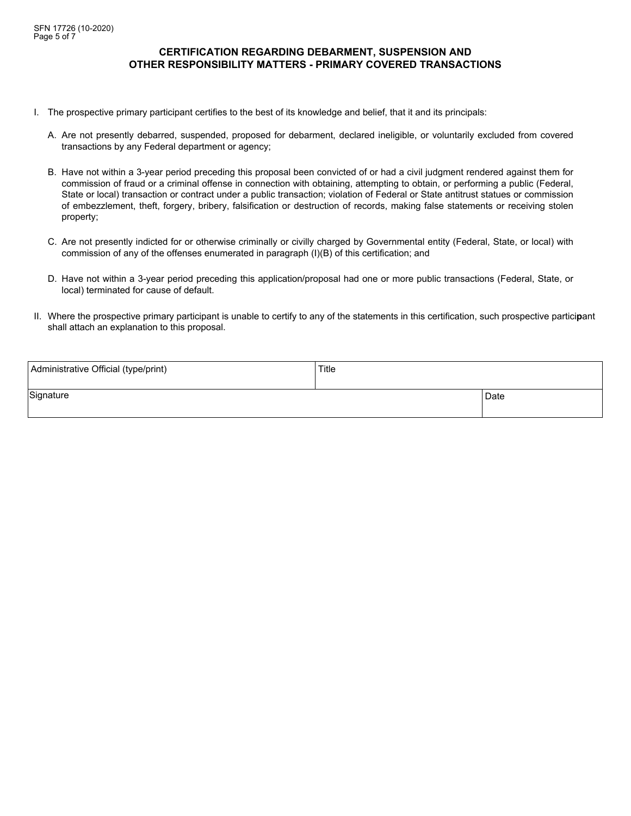### **CERTIFICATION REGARDING DEBARMENT, SUSPENSION AND OTHER RESPONSIBILITY MATTERS - PRIMARY COVERED TRANSACTIONS**

- I. The prospective primary participant certifies to the best of its knowledge and belief, that it and its principals:
	- A. Are not presently debarred, suspended, proposed for debarment, declared ineligible, or voluntarily excluded from covered transactions by any Federal department or agency;
	- B. Have not within a 3-year period preceding this proposal been convicted of or had a civil judgment rendered against them for commission of fraud or a criminal offense in connection with obtaining, attempting to obtain, or performing a public (Federal, State or local) transaction or contract under a public transaction; violation of Federal or State antitrust statues or commission of embezzlement, theft, forgery, bribery, falsification or destruction of records, making false statements or receiving stolen property;
	- C. Are not presently indicted for or otherwise criminally or civilly charged by Governmental entity (Federal, State, or local) with commission of any of the offenses enumerated in paragraph (I)(B) of this certification; and
	- D. Have not within a 3-year period preceding this application/proposal had one or more public transactions (Federal, State, or local) terminated for cause of default.
- II. Where the prospective primary participant is unable to certify to any of the statements in this certification, such prospective partici**p**ant shall attach an explanation to this proposal.

| Administrative Official (type/print) | Title |      |
|--------------------------------------|-------|------|
| Signature                            |       | Date |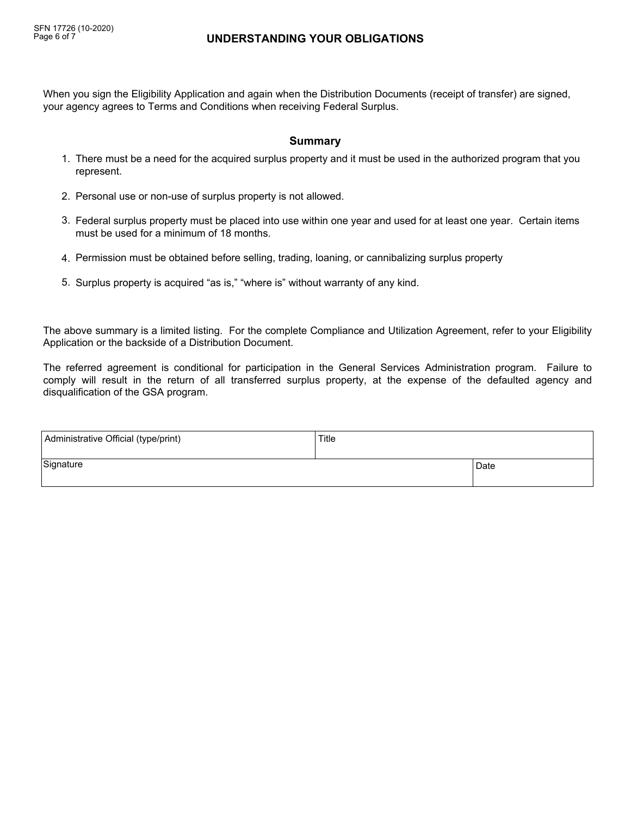# **UNDERSTANDING YOUR OBLIGATIONS**

When you sign the Eligibility Application and again when the Distribution Documents (receipt of transfer) are signed, your agency agrees to Terms and Conditions when receiving Federal Surplus.

# **Summary**

- 1. There must be a need for the acquired surplus property and it must be used in the authorized program that you represent.
- 2. Personal use or non-use of surplus property is not allowed.
- Federal surplus property must be placed into use within one year and used for at least one year. Certain items 3. must be used for a minimum of 18 months.
- 4. Permission must be obtained before selling, trading, loaning, or cannibalizing surplus property
- 5. Surplus property is acquired "as is," "where is" without warranty of any kind.

The above summary is a limited listing. For the complete Compliance and Utilization Agreement, refer to your Eligibility Application or the backside of a Distribution Document.

The referred agreement is conditional for participation in the General Services Administration program. Failure to comply will result in the return of all transferred surplus property, at the expense of the defaulted agency and disqualification of the GSA program.

| Administrative Official (type/print) | Title |      |
|--------------------------------------|-------|------|
| Signature                            |       | Date |